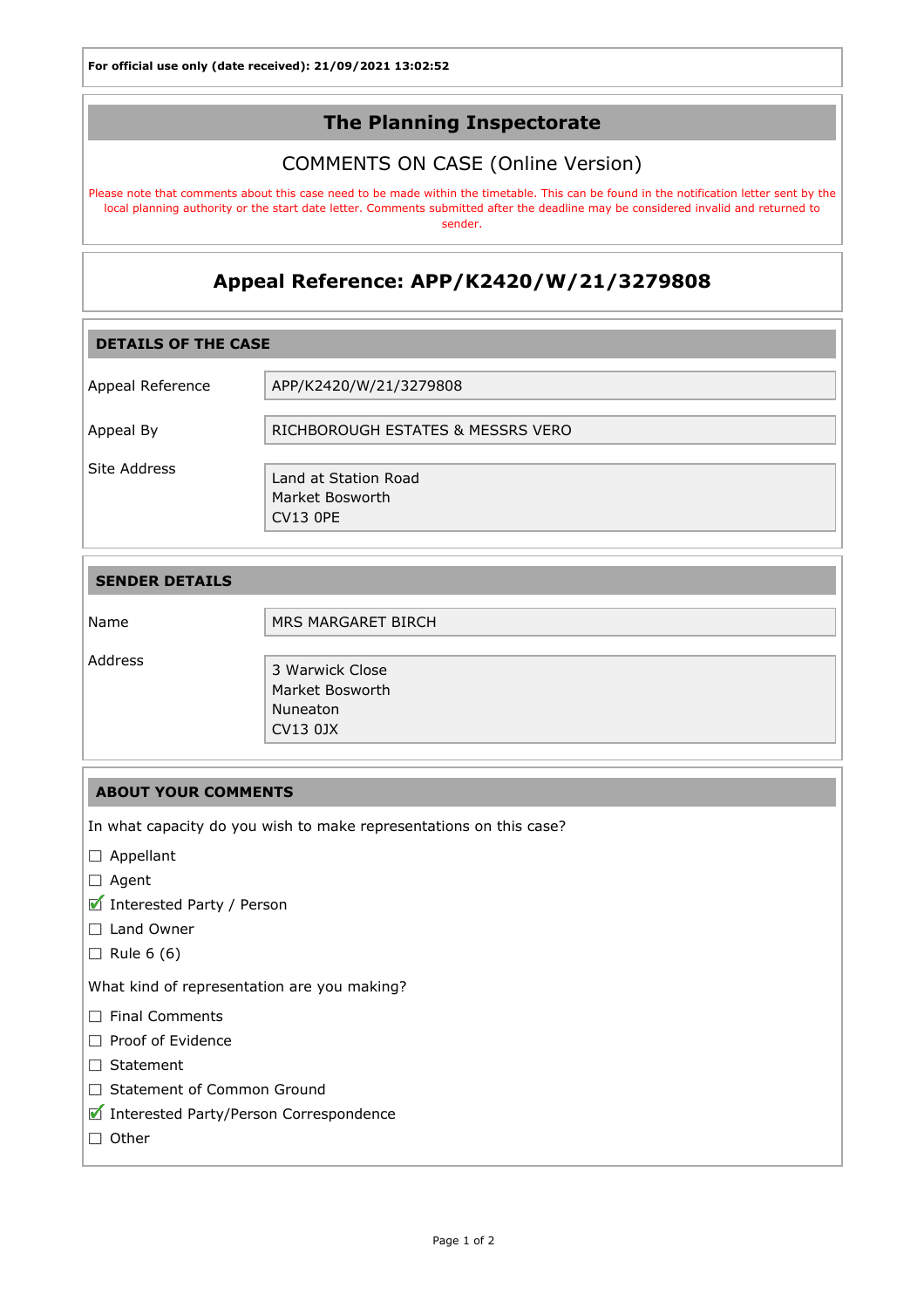## The Planning Inspectorate

## COMMENTS ON CASE (Online Version)

Please note that comments about this case need to be made within the timetable. This can be found in the notification letter sent by the local planning authority or the start date letter. Comments submitted after the deadline may be considered invalid and returned to sender.

# Appeal Reference: APP/K2420/W/21/3279808

| <b>DETAILS OF THE CASE</b> |                                                            |  |
|----------------------------|------------------------------------------------------------|--|
| Appeal Reference           | APP/K2420/W/21/3279808                                     |  |
| Appeal By                  | RICHBOROUGH ESTATES & MESSRS VERO                          |  |
| Site Address               | Land at Station Road<br>Market Bosworth<br><b>CV13 OPE</b> |  |

| <b>SENDER DETAILS</b> |                                                            |
|-----------------------|------------------------------------------------------------|
| Name                  | MRS MARGARET BIRCH                                         |
| Address               | 3 Warwick Close<br>Market Bosworth<br>Nuneaton<br>CV13 0JX |

### ABOUT YOUR COMMENTS

In what capacity do you wish to make representations on this case?

- □ Appellant
- □ Agent
- Interested Party / Person
- □ Land Owner
- $\Box$  Rule 6 (6)

What kind of representation are you making?

- $\Box$  Final Comments
- Proof of Evidence
- Statement
- □ Statement of Common Ground
- Interested Party/Person Correspondence
- $\Box$  Other